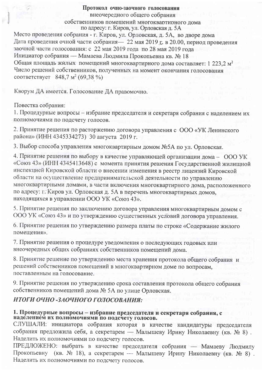## Протокол очно-заочного голосования

внеочередного общего собрания собственников помешений многоквартирного дома по адресу: г. Киров, ул. Орловская д. 5А

Место проведения собрания - г. Киров, ул. Орловская, д. 5А, во дворе дома Дата проведения очной части собрания - 22 мая 2019 г. в 20.00, период проведения заочной части голосования: с 22 мая 2019 года по 28 мая 2019 года Инициатор собрания — Мамаева Людмила Прокопьевна кв. № 18 Общая площадь жилых помещений многоквартирного дома составляет: 1 223.2 м<sup>2</sup> Число решений собственников, полученных на момент окончания голосования COOTBETCTBYET 848,7  $M^2$  (69.38 %)

Кворум ДА имеется. Голосование ДА правомочно.

Повестка собрания:

1. Процедурные вопросы - избрание председателя и секретаря собрания с наделением их полномочиями по подсчету голосов.

2. Принятие решения по расторжению договора управления с ООО «УК Ленинского района» (ИНН 4345334273) 30 августа 2019 г.

3. Выбор способа управления многоквартирным домом №5А по ул. Орловская.

4. Принятие решения по выбору в качестве управляющей организации дома - ООО УК «Союз 43» (ИНН 4345413648) с момента принятия решения Государственной жилищной инспекцией Кировской области о внесении изменения в реестр лицензий Кировской области на осуществление предпринимательской деятельности по управлению многоквартирными домами, в части включения многоквартирного дома, расположенного по адресу: г. Киров ул. Орловская д. 5А в перечень многоквартирных домов, находящихся в управлении ООО УК «Союз 43».

5. Принятие решения по заключению договора управления многоквартирным домом с ООО УК «Союз 43» и по утверждению существенных условий договора управления.

6. Принятие решения по утверждению размера платы по строке «Содержание жилого помещения».

7. Принятие решения о процедуре уведомления о последующих годовых или внеочередных общих собраниях собственников помешений лома.

8. Принятие решение по утверждению места хранения протокола общего собрания и решений собственников помещений в многоквартирном доме по вопросам, поставленным на голосование.

9. Принятие решения по утверждению срока составления протокола общего собрания собственников помещений дома № 5А по улице Орловская.

## ИТОГИ ОЧНО -ЗАОЧНОГО ГОЛОСОВАНИЯ:

# 1. Процедурные вопросы - избрание председателя и секретаря собрания, с наделением их полномочиями по подсчету голосов.

СЛУШАЛИ: инициатора собрания которая в качестве кандидатуры председателя собрания предложила себя, а секретарем — Малышеву Ирину Николаевну (кв. № 8). Наделить их полномочиями по подсчету голосов.

ПРЕДЛОЖЕНО: выбрать в качестве председателя собрания - Мамаеву Людмилу Прокопьевну (кв. № 18), а секретарем — Малышеву Ирину Николаевну (кв. № 8). Наделить их полномочиями по подсчету голосов.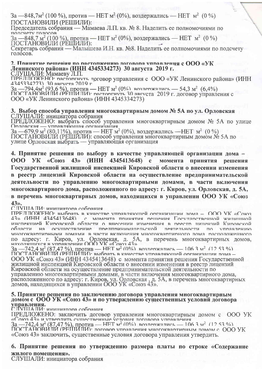За —848,7м<sup>2</sup> (100 %), против — НЕТ м<sup>2</sup> (0%), воздержались — НЕТ м<sup>2</sup> (0 %) ПОСТАНОВИЛИ (РЕШИЛИ):

Председатель собрания — Мамаева Л.П. кв. № 8. Наделить ее полномочиями по полсчету голосов

За —848,7 м<sup>2</sup> (100 %), против — НЕТ м<sup>2</sup> (0%), воздержались — НЕТ м<sup>2</sup> (0 %) ПОСТАНОВИЛИ (РЕШИЛИ):

Секретарь собрания — Малышева И.Н. кв. №8. Наделить ее полномочиями по подсчету голосов.

## 2. Принятие решения по расторжению логовора управления с  $000$  «УК Ленинского района» (ИНН 4345334273) 30 августа 2019 г.<br>СЛУШАЛИ: Мамаеву Л.П.<br>ПРЕЛПОЖЕНО: расторгиуть договор управления с ООО «УК Ленинского района» (ИНН

4345334273) 30 явгустя 2019 г

 $3a - 794.4m^2 (93.6\%)$ , против — НЕТ м<sup>2</sup> (0%) воздержались — 54,3 м<sup>2</sup> (6,4%)<br>ПОСТАНОВИЛИ (РЕШИЛИ): расторгнуть 30 августа 2019 г. договор управления с ООО «УК Ленинского района» (ИНН 4345334273)

## 3. Выбор способа управления многоквартирным домом № 5А по ул. Орловская

СЛУШАЛИ: инициатора собрания<br>ПРЕДЛОЖЕНО: выбрать способ управления многоквартирным домом № 5А по улице

Опловская — управляющая опганизация<br>3a —679,9 м<sup>2</sup> (80,11%), против — НЕТ м<sup>2</sup> (0%), воздержались —НЕТ м<sup>2</sup> (0 %)<br>ПОСТАНОВИЛИ (РЕШИЛИ): способ управления многоквартирным домом № 5А по улице Орловская выбрать - управляющая организация

4. Принятие решения по выбору в качестве управляющей организации дома - $43<sub>2</sub>$ (ИНН 4345413648) с 000  $\mathbf{Y}$ K  $\langle \langle \mathbf{C}\mathbf{0}\mathbf{I}\mathbf{0}\mathbf{3}\rangle$ момента **ПРИНЯТИЯ** решения Государственной жилищной инспекцией Кировской области о внесении изменения в реестр лицензий Кировской области на осуществление предпринимательской деятельности по управлению многоквартирными домами, в части включения многоквартирного дома, расположенного по адресу: г. Киров, ул. Орловская, д. 5А, в перечень многоквартирных домов, находящихся в управлении ООО УК «Союз  $43<sub>2</sub>$ 

C IIVIIIA II И инипиатора собрания

ПРЕЛПОЖЕНО<sup>•</sup> выбрать в качестве управляющей организации лома - ООО УК «Союз 43» (ИНН 4345413648) с момента принятия решения Государственной жилишной инспекцией Киповской области о внесении изменения в пеестр лицензий Киповской области осушествление прелитичимательской на пеятельности  $\overline{\Pi}$ **УПЛАВЛЕНИЮ** МНОГОКВАРТИРНЫМИ ЛОМАМИ В ЧАСТИ ВКЛЮЧЕНИЯ МНОГОКВАРТИРНОГО ЛОМА РАСПОЛОЖЕННОГО по адресу: г. Киров, ул. Орловская, д. 5А, в перечень многоквартирных домов,<br>находящихся в управлении ООО УК «Союз 43»<br>3a - 742,4 M<sup>2</sup> (87,47 %), против — HET M<sup>2</sup> (0%) возлержались — 106.3 M<sup>2</sup> (12.53 %)<br>ПОСТАНОВИЛИ (РЕ

ООО УК «Союз 43» (ИНН 4345413648) с момента принятия решения Государственной жилищной инспекцией Кировской области о внесении изменения в реестр лицензий Кировской области на осуществление предпринимательской деятельности по управлению многоквартирными домами, в части включения многоквартирного дома,<br>расположенного по адресу: г. Киров, ул. Орловская, д. 5А, в перечень многоквартирных<br>домов, находящихся в управлении ООО УК «Союз 43».

## 5. Принятие решения по заключению договора управления многоквартирным домом с ООО УК «Союз 43» и по утверждению существенных условий договора управления.<br>СПУША ПИ· инипиатора собрания

ПРЕДЛОЖЕНО: заключить договор управления многоквартирным домом с ООО УК «Союз 43» и утвердить существенные услову дравнения инструкционный домом с состо-<br>3a - 742,4 M<sup>2</sup> (87,47 %), против — HET м<sup>2</sup> (0%), воздержались — 106.3 м<sup>2</sup> (12.53 %)<br>ПОСТАНОВИЛИ (РЕШИЛИ), договор управления многокварт

«Союз 43» заключить, существенные условия договора управления утвердить.

## 6. Принятие решения по утверждению размера платы по строке «Содержание жилого помещения».

СЛУШАЛИ: инициатора собрания